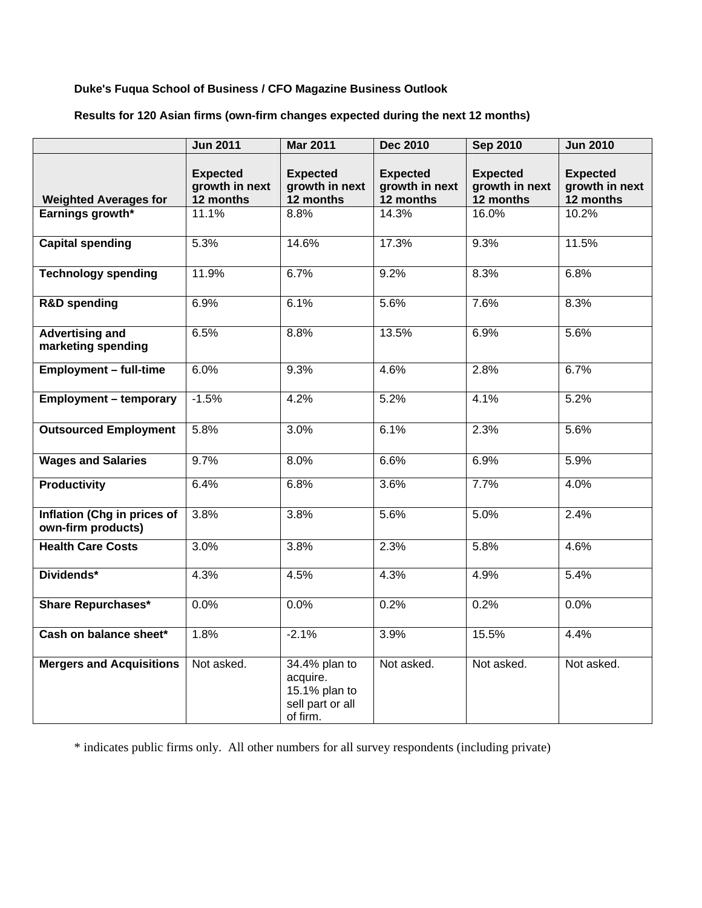## **Duke's Fuqua School of Business / CFO Magazine Business Outlook**

# **Results for 120 Asian firms (own-firm changes expected during the next 12 months)**

|                                                   | <b>Jun 2011</b>                                | <b>Mar 2011</b>                                                            | <b>Dec 2010</b>                                | <b>Sep 2010</b>                                | <b>Jun 2010</b>                                |
|---------------------------------------------------|------------------------------------------------|----------------------------------------------------------------------------|------------------------------------------------|------------------------------------------------|------------------------------------------------|
| <b>Weighted Averages for</b>                      | <b>Expected</b><br>growth in next<br>12 months | <b>Expected</b><br>growth in next<br>12 months                             | <b>Expected</b><br>growth in next<br>12 months | <b>Expected</b><br>growth in next<br>12 months | <b>Expected</b><br>growth in next<br>12 months |
| Earnings growth*                                  | 11.1%                                          | 8.8%                                                                       | 14.3%                                          | 16.0%                                          | 10.2%                                          |
|                                                   |                                                |                                                                            |                                                |                                                |                                                |
| <b>Capital spending</b>                           | 5.3%                                           | 14.6%                                                                      | 17.3%                                          | 9.3%                                           | 11.5%                                          |
| <b>Technology spending</b>                        | 11.9%                                          | 6.7%                                                                       | 9.2%                                           | 8.3%                                           | 6.8%                                           |
| <b>R&amp;D</b> spending                           | 6.9%                                           | 6.1%                                                                       | 5.6%                                           | 7.6%                                           | 8.3%                                           |
| <b>Advertising and</b><br>marketing spending      | 6.5%                                           | 8.8%                                                                       | 13.5%                                          | 6.9%                                           | 5.6%                                           |
| <b>Employment - full-time</b>                     | 6.0%                                           | 9.3%                                                                       | 4.6%                                           | 2.8%                                           | 6.7%                                           |
| <b>Employment - temporary</b>                     | $-1.5%$                                        | 4.2%                                                                       | 5.2%                                           | 4.1%                                           | 5.2%                                           |
| <b>Outsourced Employment</b>                      | 5.8%                                           | 3.0%                                                                       | 6.1%                                           | 2.3%                                           | 5.6%                                           |
| <b>Wages and Salaries</b>                         | 9.7%                                           | 8.0%                                                                       | 6.6%                                           | 6.9%                                           | 5.9%                                           |
| <b>Productivity</b>                               | 6.4%                                           | 6.8%                                                                       | 3.6%                                           | 7.7%                                           | 4.0%                                           |
| Inflation (Chg in prices of<br>own-firm products) | 3.8%                                           | 3.8%                                                                       | 5.6%                                           | 5.0%                                           | 2.4%                                           |
| <b>Health Care Costs</b>                          | 3.0%                                           | 3.8%                                                                       | 2.3%                                           | 5.8%                                           | 4.6%                                           |
| Dividends*                                        | 4.3%                                           | 4.5%                                                                       | 4.3%                                           | 4.9%                                           | 5.4%                                           |
| <b>Share Repurchases*</b>                         | 0.0%                                           | 0.0%                                                                       | 0.2%                                           | 0.2%                                           | 0.0%                                           |
| Cash on balance sheet*                            | 1.8%                                           | $-2.1%$                                                                    | 3.9%                                           | 15.5%                                          | 4.4%                                           |
| <b>Mergers and Acquisitions</b>                   | Not asked.                                     | 34.4% plan to<br>acquire.<br>15.1% plan to<br>sell part or all<br>of firm. | Not asked.                                     | Not asked.                                     | Not asked.                                     |

\* indicates public firms only. All other numbers for all survey respondents (including private)